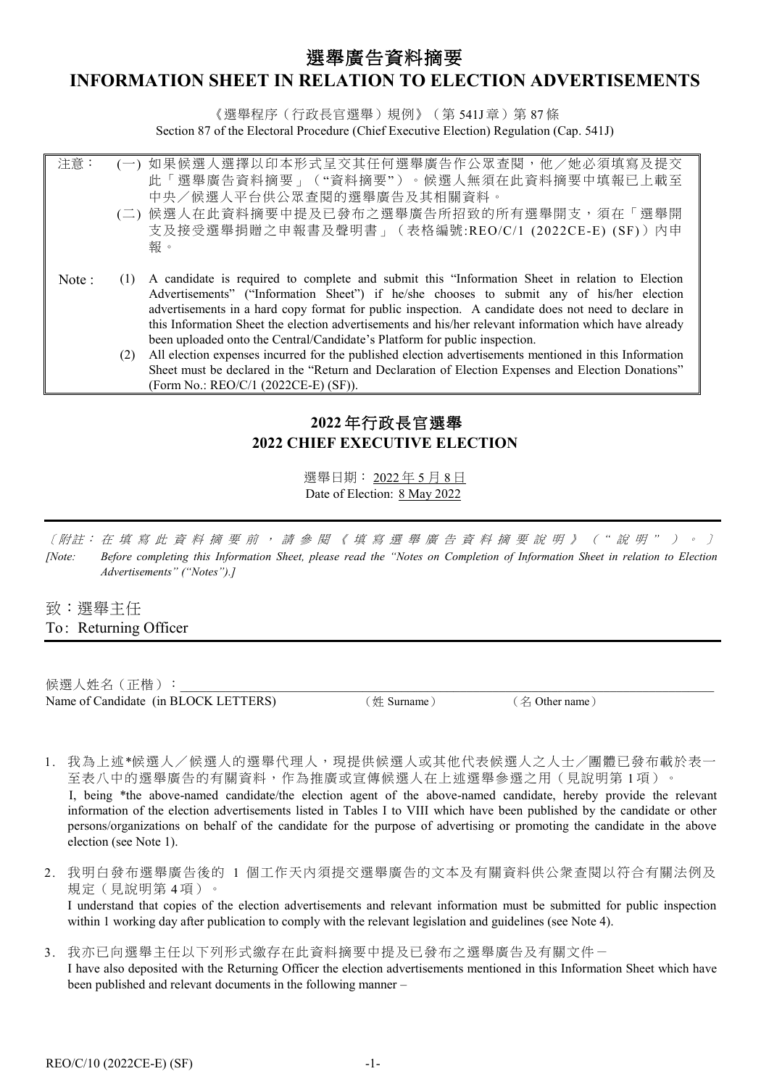# 選舉廣告資料摘要

# **INFORMATION SHEET IN RELATION TO ELECTION ADVERTISEMENTS**

《選舉程序(行政長官選舉)規例》(第 541J 章) 第 87 條 Section 87 of the Electoral Procedure (Chief Executive Election) Regulation (Cap. 541J)

| 注意:   |     | (一) 如果候選人選擇以印本形式呈交其任何選舉廣告作公眾查閱,他/她必須填寫及提交                                                                                                                                                   |
|-------|-----|---------------------------------------------------------------------------------------------------------------------------------------------------------------------------------------------|
|       |     | 此「選舉廣告資料摘要」("資料摘要")。候選人無須在此資料摘要中填報已上載至                                                                                                                                                      |
|       |     | 中央/候選人平台供公眾查閱的選舉廣告及其相關資料。                                                                                                                                                                   |
|       |     | (二) 候選人在此資料摘要中提及已發布之選舉廣告所招致的所有選舉開支,須在「選舉開                                                                                                                                                   |
|       |     | 支及接受選舉捐贈之申報書及聲明書」(表格編號:REO/C/1 (2022CE-E) (SF)) 內申                                                                                                                                          |
|       |     | 報。                                                                                                                                                                                          |
|       |     |                                                                                                                                                                                             |
| Note: | (1) | A candidate is required to complete and submit this "Information Sheet in relation to Election<br>Advertisements" ("Information Sheet") if he/she chooses to submit any of his/her election |
|       |     | advertisements in a hard copy format for public inspection. A candidate does not need to declare in                                                                                         |
|       |     | this Information Sheet the election advertisements and his/her relevant information which have already                                                                                      |
|       |     | been uploaded onto the Central/Candidate's Platform for public inspection.                                                                                                                  |
|       | (2) | All election expenses incurred for the published election advertisements mentioned in this Information                                                                                      |
|       |     | Sheet must be declared in the "Return and Declaration of Election Expenses and Election Donations"                                                                                          |
|       |     | (Form No.: REO/C/1 (2022CE-E) (SF)).                                                                                                                                                        |

# **2022** 年行政長官選舉 **2022 CHIEF EXECUTIVE ELECTION**

選舉日期: 2022 年 5 月 8 日 Date of Election: 8 May 2022

〔附註: 在填寫此 資料摘要 前,請參閱《填寫選舉 廣告資料摘要 說明》 ( *"* 說 明 *"* ) 。 〕 *[Note: Before completing this Information Sheet, please read the "Notes on Completion of Information Sheet in relation to Election Advertisements" ("Notes").]*

致:選舉主任 To: Returning Officer

Ξ

候選人姓名 (正楷): Name of Candidate (in BLOCK LETTERS) (姓 Surname) (名 Other name)

- 1. 我為上述\*候選人/候選人的選舉代理人,現提供候選人或其他代表候選人之人士/團體已發布載於表一 至表八中的選舉廣告的有關資料,作為推廣或宣傳候選人在上述選舉參選之用(見說明第1項)。 I, being \*the above-named candidate/the election agent of the above-named candidate, hereby provide the relevant
	- information of the election advertisements listed in Tables I to VIII which have been published by the candidate or other persons/organizations on behalf of the candidate for the purpose of advertising or promoting the candidate in the above election (see Note 1).
- 2. 我明白發布選舉廣告後的 1 個工作天內須提交選舉廣告的文本及有關資料供公衆查閱以符合有關法例及 規定(見說明第 4 項)。

I understand that copies of the election advertisements and relevant information must be submitted for public inspection within 1 working day after publication to comply with the relevant legislation and guidelines (see Note 4).

- 3. 我亦已向選舉主任以下列形式繳存在此資料摘要中提及已發布之選舉廣告及有關文件一
	- I have also deposited with the Returning Officer the election advertisements mentioned in this Information Sheet which have been published and relevant documents in the following manner –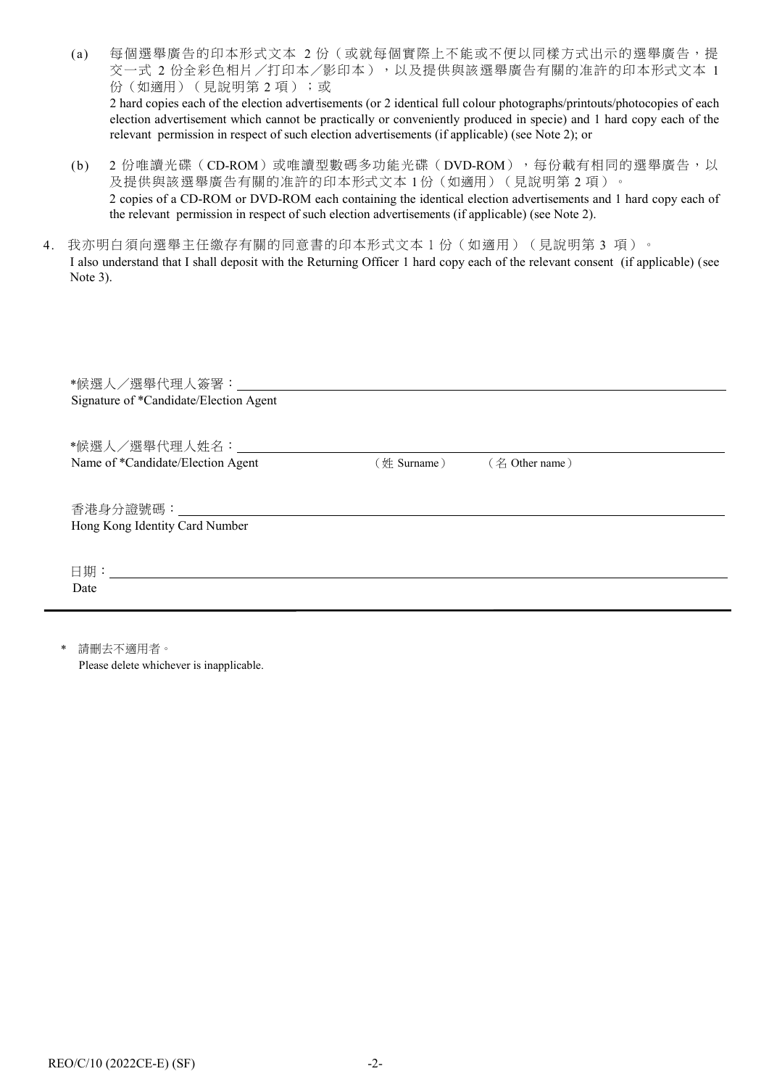- (a) 每個選舉廣告的印本形式文本 2 份(或就每個實際上不能或不便以同樣方式出示的選舉廣告,提 交一式 2 份全彩色相片/打印本/影印本),以及提供與該選舉廣告有關的准許的印本形式文本 1 份(如適用)(見說明第2項);或 2 hard copies each of the election advertisements (or 2 identical full colour photographs/printouts/photocopies of each election advertisement which cannot be practically or conveniently produced in specie) and 1 hard copy each of the relevant permission in respect of such election advertisements (if applicable) (see Note 2); or
- (b) 2 份唯讀光碟(CD-ROM)或唯讀型數碼多功能光碟(DVD-ROM),每份載有相同的選舉廣告,以 及提供與該選舉廣告有關的准許的印本形式文本1份(如適用)(見說明第2項)。 2 copies of a CD-ROM or DVD-ROM each containing the identical election advertisements and 1 hard copy each of the relevant permission in respect of such election advertisements (if applicable) (see Note 2).
- 4. 我亦明白須向選舉主任繳存有關的同意書的印本形式文本 1 份 (如適用) (見說明第 3 項)。 I also understand that I shall deposit with the Returning Officer 1 hard copy each of the relevant consent (if applicable) (see Note 3).

| Signature of *Candidate/Election Agent                        |                |                |
|---------------------------------------------------------------|----------------|----------------|
| *候選人/選舉代理人姓名: ろうしょう うちょう かいしん                                 |                |                |
| Name of *Candidate/Election Agent                             | $(\#$ Surname) | (名 Other name) |
| 香港身分證號碼: いっこう しゅうしょう しんこうかい<br>Hong Kong Identity Card Number |                |                |
| Date                                                          |                |                |
|                                                               |                |                |

請刪去不適用者。

Please delete whichever is inapplicable.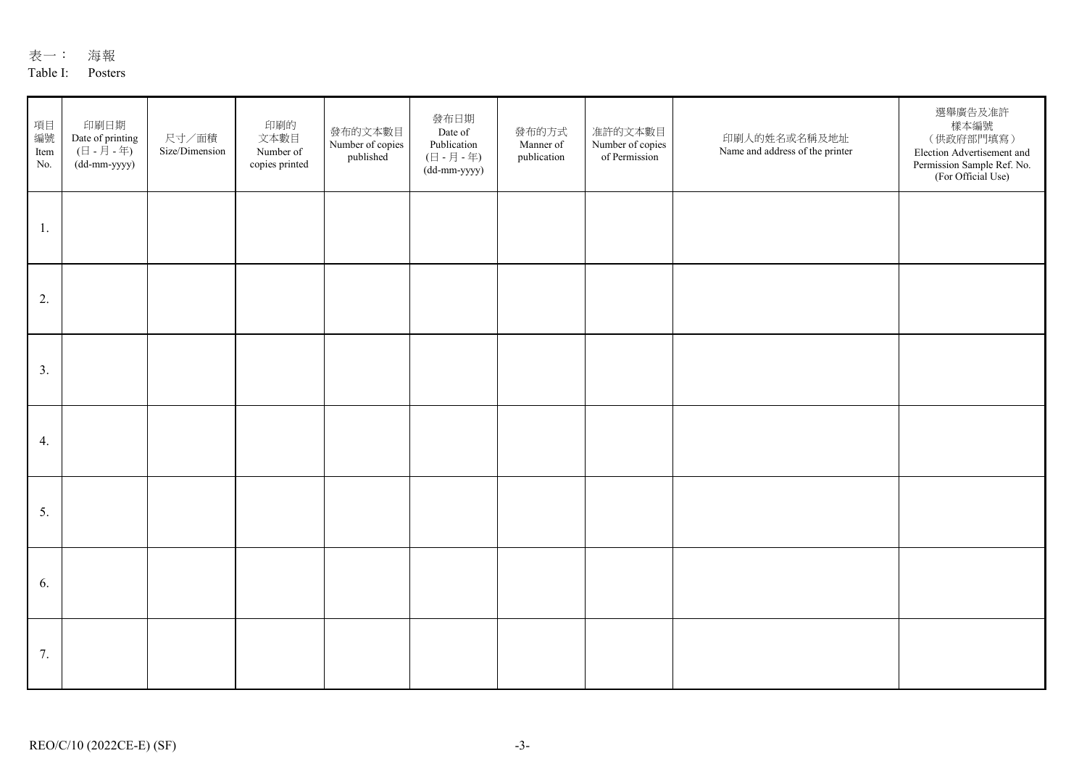| 表 | 海報 |
|---|----|
|   |    |

### Table I: Posters

| 項目<br>編號<br>Item<br>No. | 印刷日期<br>Date of printing<br>(日 - 月 - 年)<br>(dd-mm-yyyy) | 尺寸/面積<br>Size/Dimension | 印刷的<br>文本數目<br>Number of<br>copies printed | 發布的文本數目<br>Number of copies<br>published | 發布日期<br>Date of<br>Publication<br>(日 - 月 - 年)<br>(dd-mm-yyyy) | 發布的方式<br>Manner of<br>publication | 准許的文本數目<br>Number of copies<br>of Permission | 印刷人的姓名或名稱及地址<br>Name and address of the printer | 選舉廣告及准許<br>樣本編號<br>(供政府部門填寫)<br>Election Advertisement and<br>Permission Sample Ref. No.<br>(For Official Use) |
|-------------------------|---------------------------------------------------------|-------------------------|--------------------------------------------|------------------------------------------|---------------------------------------------------------------|-----------------------------------|----------------------------------------------|-------------------------------------------------|----------------------------------------------------------------------------------------------------------------|
| 1.                      |                                                         |                         |                                            |                                          |                                                               |                                   |                                              |                                                 |                                                                                                                |
| 2.                      |                                                         |                         |                                            |                                          |                                                               |                                   |                                              |                                                 |                                                                                                                |
| 3.                      |                                                         |                         |                                            |                                          |                                                               |                                   |                                              |                                                 |                                                                                                                |
| 4.                      |                                                         |                         |                                            |                                          |                                                               |                                   |                                              |                                                 |                                                                                                                |
| 5.                      |                                                         |                         |                                            |                                          |                                                               |                                   |                                              |                                                 |                                                                                                                |
| 6.                      |                                                         |                         |                                            |                                          |                                                               |                                   |                                              |                                                 |                                                                                                                |
| 7.                      |                                                         |                         |                                            |                                          |                                                               |                                   |                                              |                                                 |                                                                                                                |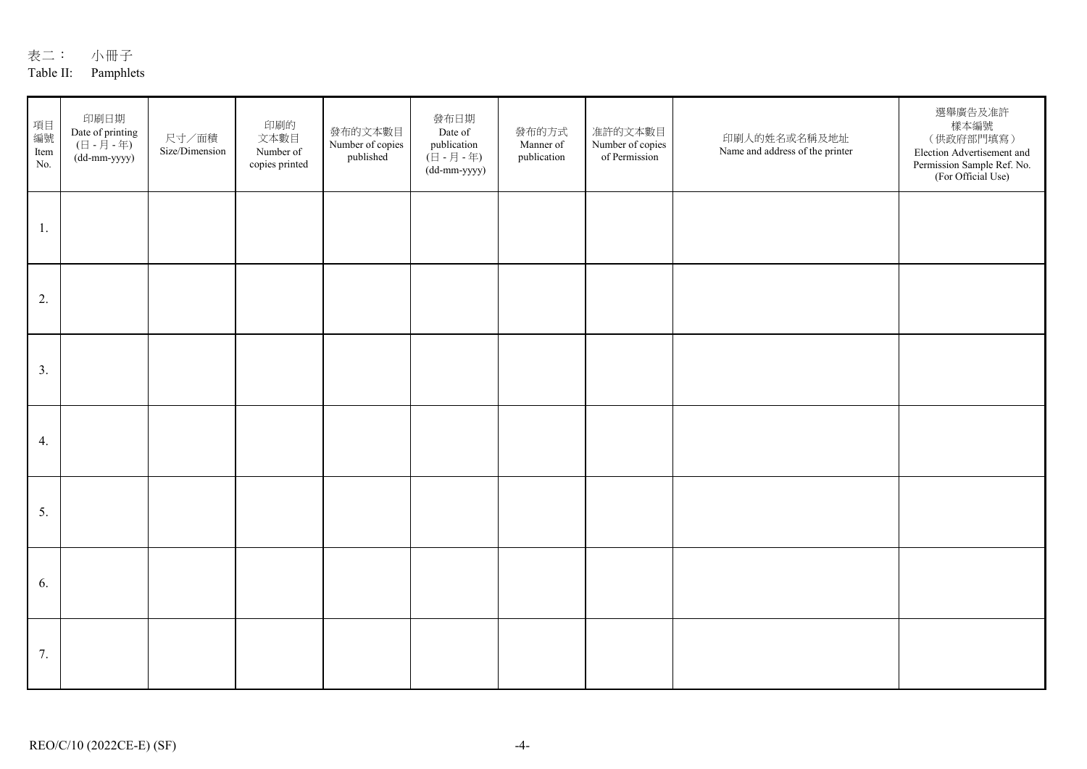## Table II: Pamphlets

| 項目<br>編號<br>Item<br>No. | 印刷日期<br>Date of printing<br>$(\boxminus$ - $\boxminus$ - $\boxplus$ )<br>(dd-mm-yyyy) | 尺寸/面積<br>Size/Dimension | 印刷的<br>文本數目<br>Number of<br>copies printed | 發布的文本數目<br>Number of copies<br>published | 發布日期<br>Date of<br>publication<br>$(\exists -\exists -\pm)$<br>(dd-mm-yyyy) | 發布的方式<br>Manner of<br>publication | 准許的文本數目<br>Number of copies<br>of Permission | 印刷人的姓名或名稱及地址<br>Name and address of the printer | 選舉廣告及准許<br>樣本編號<br>(供政府部門填寫)<br>Election Advertisement and<br>Permission Sample Ref. No.<br>(For Official Use) |
|-------------------------|---------------------------------------------------------------------------------------|-------------------------|--------------------------------------------|------------------------------------------|-----------------------------------------------------------------------------|-----------------------------------|----------------------------------------------|-------------------------------------------------|----------------------------------------------------------------------------------------------------------------|
| 1.                      |                                                                                       |                         |                                            |                                          |                                                                             |                                   |                                              |                                                 |                                                                                                                |
| 2.                      |                                                                                       |                         |                                            |                                          |                                                                             |                                   |                                              |                                                 |                                                                                                                |
| 3.                      |                                                                                       |                         |                                            |                                          |                                                                             |                                   |                                              |                                                 |                                                                                                                |
| 4.                      |                                                                                       |                         |                                            |                                          |                                                                             |                                   |                                              |                                                 |                                                                                                                |
| 5.                      |                                                                                       |                         |                                            |                                          |                                                                             |                                   |                                              |                                                 |                                                                                                                |
| 6.                      |                                                                                       |                         |                                            |                                          |                                                                             |                                   |                                              |                                                 |                                                                                                                |
| 7.                      |                                                                                       |                         |                                            |                                          |                                                                             |                                   |                                              |                                                 |                                                                                                                |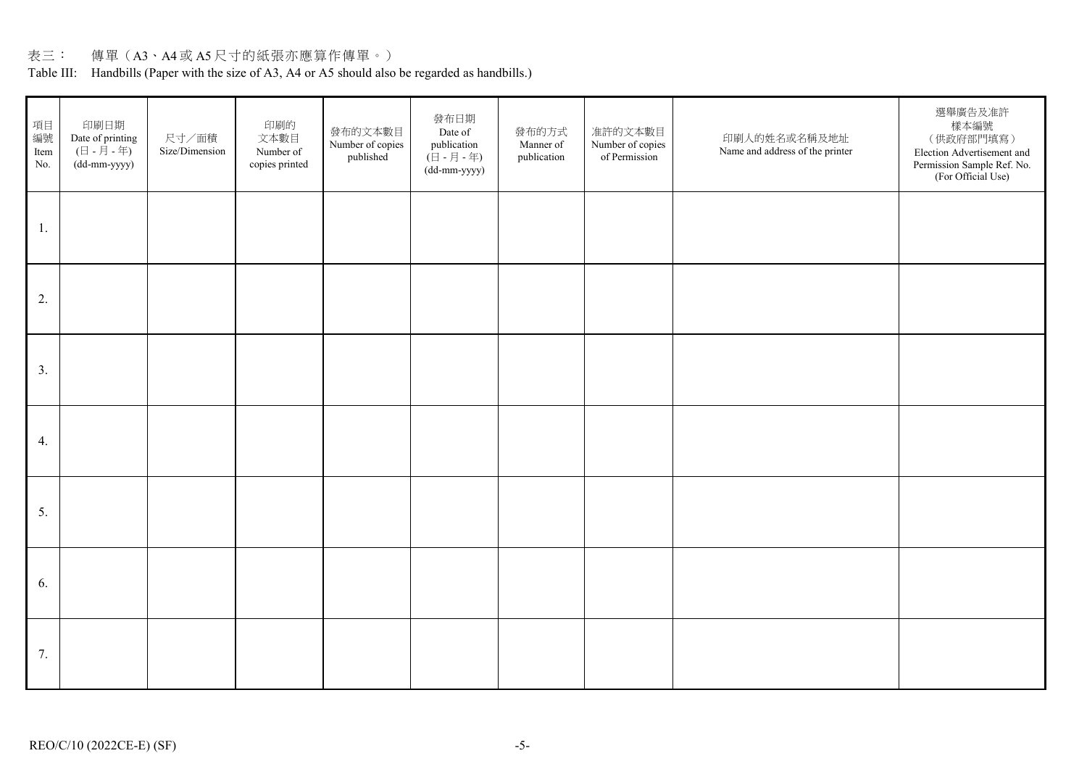# 表三: 傳單(A3、A4 或 A5 尺寸的紙張亦應算作傳單。)

Table III: Handbills (Paper with the size of A3, A4 or A5 should also be regarded as handbills.)

| 項目<br>編號<br>Item<br>No. | 印刷日期<br>Date of printing<br>$(\exists -\overline{A} - \overline{A})$<br>(dd-mm-yyyy) | 尺寸/面積<br>Size/Dimension | 印刷的<br>文本數目<br>Number of<br>copies printed | 發布的文本數目<br>Number of copies<br>published | 發布日期<br>Date of<br>publication<br>$(\exists - \exists - \pm)$<br>(dd-mm-yyyy) | 發布的方式<br>Manner of<br>publication | 准許的文本數目<br>Number of copies<br>of Permission | 印刷人的姓名或名稱及地址<br>Name and address of the printer | 選舉廣告及准許<br>樣本編號<br>(供政府部門填寫)<br>Election Advertisement and<br>Permission Sample Ref. No.<br>(For Official Use) |
|-------------------------|--------------------------------------------------------------------------------------|-------------------------|--------------------------------------------|------------------------------------------|-------------------------------------------------------------------------------|-----------------------------------|----------------------------------------------|-------------------------------------------------|----------------------------------------------------------------------------------------------------------------|
| 1.                      |                                                                                      |                         |                                            |                                          |                                                                               |                                   |                                              |                                                 |                                                                                                                |
| 2.                      |                                                                                      |                         |                                            |                                          |                                                                               |                                   |                                              |                                                 |                                                                                                                |
| 3.                      |                                                                                      |                         |                                            |                                          |                                                                               |                                   |                                              |                                                 |                                                                                                                |
| 4.                      |                                                                                      |                         |                                            |                                          |                                                                               |                                   |                                              |                                                 |                                                                                                                |
| 5.                      |                                                                                      |                         |                                            |                                          |                                                                               |                                   |                                              |                                                 |                                                                                                                |
| 6.                      |                                                                                      |                         |                                            |                                          |                                                                               |                                   |                                              |                                                 |                                                                                                                |
| 7.                      |                                                                                      |                         |                                            |                                          |                                                                               |                                   |                                              |                                                 |                                                                                                                |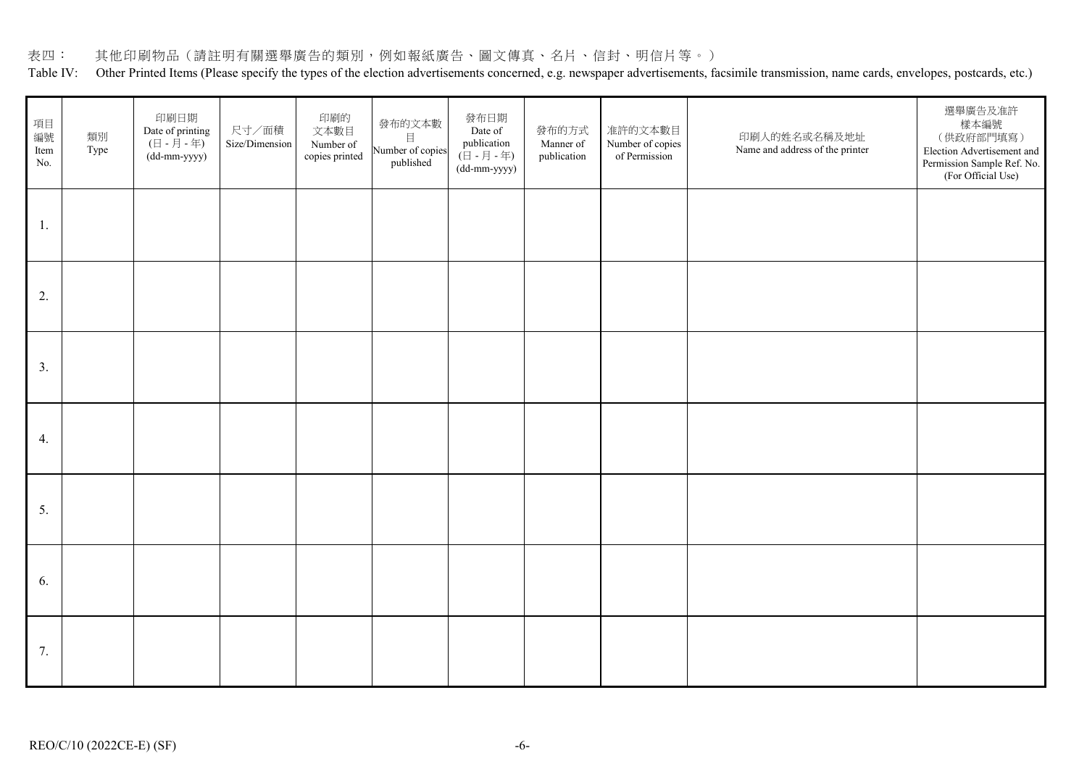## 表四: 其他印刷物品(請註明有關選舉廣告的類別,例如報紙廣告、圖文傳真、名片、信封、明信片等。)

Table IV: Other Printed Items (Please specify the types of the election advertisements concerned, e.g. newspaper advertisements, facsimile transmission, name cards, envelopes, postcards, etc.)

| 項目<br>編號<br>Item<br>No. | 類別<br>Type | 印刷日期<br>Date of printing<br>$(\boxminus$ - $\boxminus$ - $\oplus$<br>(dd-mm-yyyy) | 尺寸/面積<br>Size/Dimension | 印刷的<br>文本數目<br>Number of<br>copies printed | 發布的文本數<br>目<br>Number of copies<br>published | 發布日期<br>Date of<br>publication<br>( $\boxplus$ - $\boxplus$ - $\oplus$ )<br>(dd-mm-yyyy) | 發布的方式<br>Manner of<br>publication | 准許的文本數目<br>Number of copies<br>of Permission | 印刷人的姓名或名稱及地址<br>Name and address of the printer | 選舉廣告及准許<br>樣本編號<br>(供政府部門填寫)<br>Election Advertisement and<br>Permission Sample Ref. No.<br>(For Official Use) |
|-------------------------|------------|-----------------------------------------------------------------------------------|-------------------------|--------------------------------------------|----------------------------------------------|------------------------------------------------------------------------------------------|-----------------------------------|----------------------------------------------|-------------------------------------------------|----------------------------------------------------------------------------------------------------------------|
| 1.                      |            |                                                                                   |                         |                                            |                                              |                                                                                          |                                   |                                              |                                                 |                                                                                                                |
| 2.                      |            |                                                                                   |                         |                                            |                                              |                                                                                          |                                   |                                              |                                                 |                                                                                                                |
| 3.                      |            |                                                                                   |                         |                                            |                                              |                                                                                          |                                   |                                              |                                                 |                                                                                                                |
| 4.                      |            |                                                                                   |                         |                                            |                                              |                                                                                          |                                   |                                              |                                                 |                                                                                                                |
| 5.                      |            |                                                                                   |                         |                                            |                                              |                                                                                          |                                   |                                              |                                                 |                                                                                                                |
| 6.                      |            |                                                                                   |                         |                                            |                                              |                                                                                          |                                   |                                              |                                                 |                                                                                                                |
| 7.                      |            |                                                                                   |                         |                                            |                                              |                                                                                          |                                   |                                              |                                                 |                                                                                                                |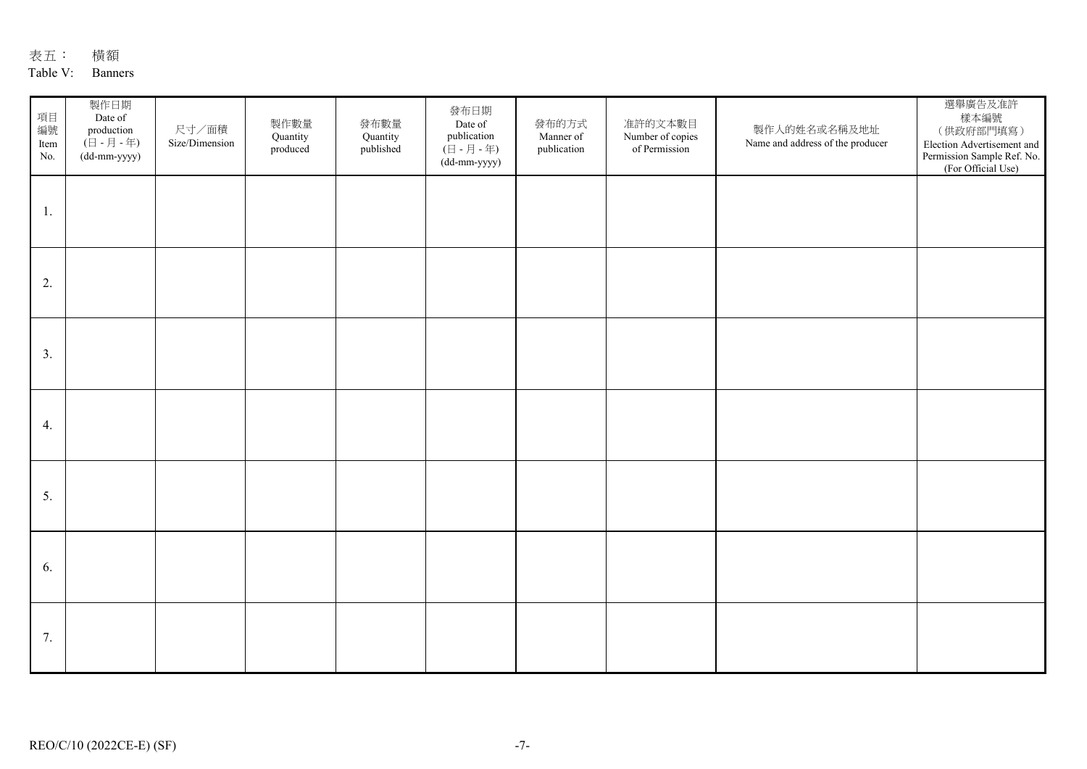# 表五: 橫額

## Table V: Banners

| 項目<br>編號<br>Item<br>No. | 製作日期<br>Date of<br>production<br>(日 - 月 - 年)<br>(dd-mm-yyyy) | 尺寸/面積<br>Size/Dimension | 製作數量<br>Quantity<br>produced | 發布數量<br>Quantity<br>published | 發布日期<br>Date of<br>publication<br>$(\overline{\Box} - \overline{\Box} - \overline{\Diamond})$<br>(dd-mm-yyyy) | 發布的方式<br>Manner of<br>publication | 准許的文本數目<br>Number of copies<br>of Permission | 製作人的姓名或名稱及地址<br>Name and address of the producer | 選舉廣告及准許<br>樣本編號<br>(供政府部門填寫)<br>Election Advertisement and<br>Permission Sample Ref. No.<br>(For Official Use) |
|-------------------------|--------------------------------------------------------------|-------------------------|------------------------------|-------------------------------|---------------------------------------------------------------------------------------------------------------|-----------------------------------|----------------------------------------------|--------------------------------------------------|----------------------------------------------------------------------------------------------------------------|
| 1.                      |                                                              |                         |                              |                               |                                                                                                               |                                   |                                              |                                                  |                                                                                                                |
| 2.                      |                                                              |                         |                              |                               |                                                                                                               |                                   |                                              |                                                  |                                                                                                                |
| 3.                      |                                                              |                         |                              |                               |                                                                                                               |                                   |                                              |                                                  |                                                                                                                |
| 4.                      |                                                              |                         |                              |                               |                                                                                                               |                                   |                                              |                                                  |                                                                                                                |
| 5.                      |                                                              |                         |                              |                               |                                                                                                               |                                   |                                              |                                                  |                                                                                                                |
| 6.                      |                                                              |                         |                              |                               |                                                                                                               |                                   |                                              |                                                  |                                                                                                                |
| 7.                      |                                                              |                         |                              |                               |                                                                                                               |                                   |                                              |                                                  |                                                                                                                |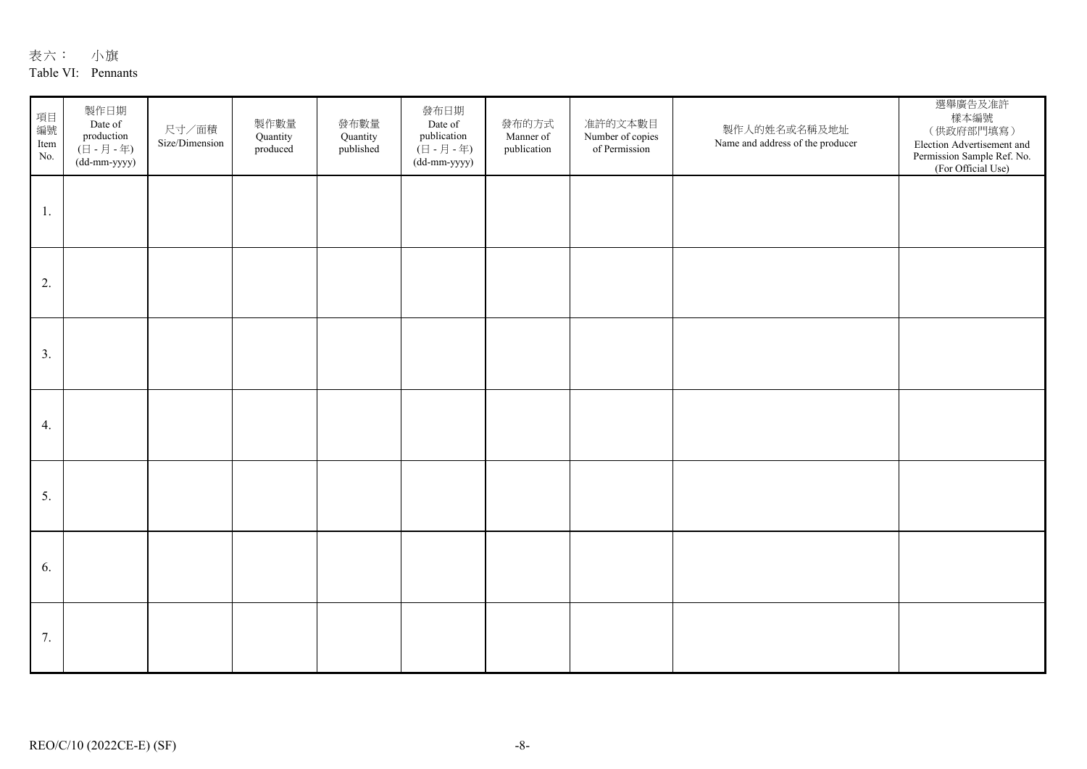| 表六:<br>小旗 |  |
|-----------|--|
|-----------|--|

### Table VI: Pennants

| 項目<br>編號<br>Item<br>No. | 製作日期<br>Date of<br>production<br>(日 - 月 - 年)<br>(dd-mm-yyyy) | 尺寸/面積<br>Size/Dimension | 製作數量<br>Quantity<br>produced | 發布數量<br>Quantity<br>published | 發布日期<br>Date of<br>publication<br>(日 - 月 - 年)<br>(dd-mm-yyyy) | 發布的方式<br>Manner of<br>publication | 准許的文本數目<br>Number of copies<br>of Permission | 製作人的姓名或名稱及地址<br>Name and address of the producer | 選舉廣告及准許<br>樣本編號<br>(供政府部門填寫)<br>Election Advertisement and<br>Permission Sample Ref. No.<br>(For Official Use) |
|-------------------------|--------------------------------------------------------------|-------------------------|------------------------------|-------------------------------|---------------------------------------------------------------|-----------------------------------|----------------------------------------------|--------------------------------------------------|----------------------------------------------------------------------------------------------------------------|
| 1.                      |                                                              |                         |                              |                               |                                                               |                                   |                                              |                                                  |                                                                                                                |
| 2.                      |                                                              |                         |                              |                               |                                                               |                                   |                                              |                                                  |                                                                                                                |
| 3.                      |                                                              |                         |                              |                               |                                                               |                                   |                                              |                                                  |                                                                                                                |
| 4.                      |                                                              |                         |                              |                               |                                                               |                                   |                                              |                                                  |                                                                                                                |
| 5.                      |                                                              |                         |                              |                               |                                                               |                                   |                                              |                                                  |                                                                                                                |
| 6.                      |                                                              |                         |                              |                               |                                                               |                                   |                                              |                                                  |                                                                                                                |
| 7.                      |                                                              |                         |                              |                               |                                                               |                                   |                                              |                                                  |                                                                                                                |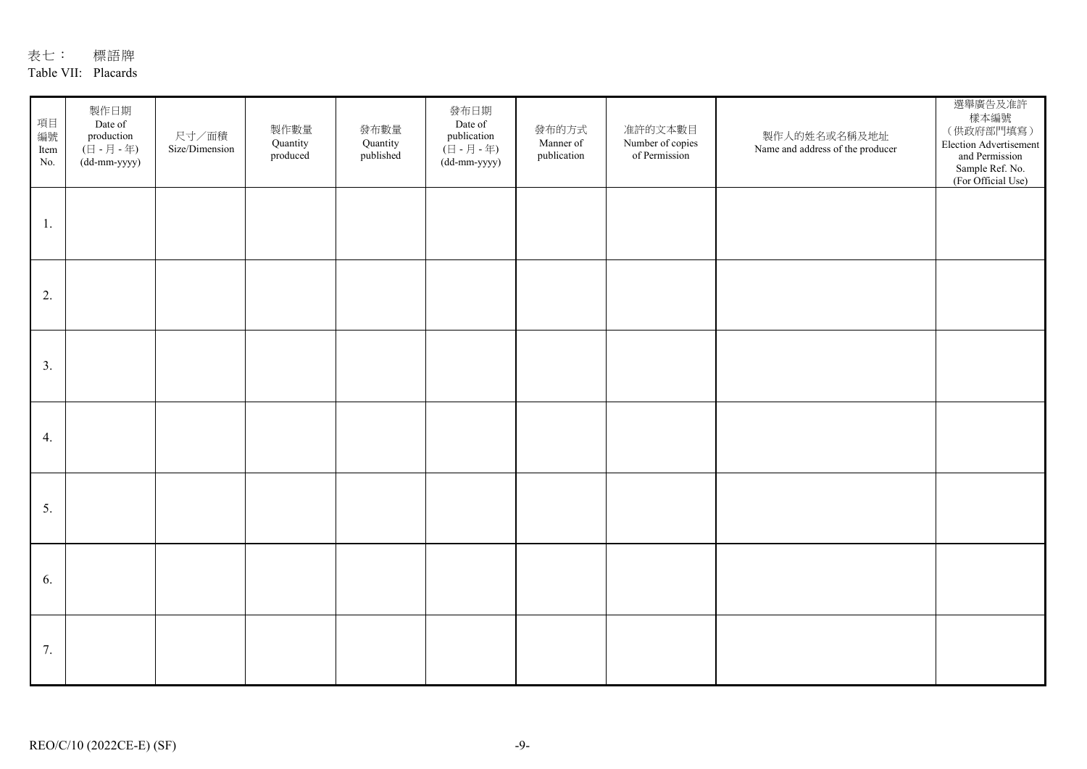# 表七: 標語牌

## Table VII: Placards

| 項目<br>編號<br>Item<br>No. | 製作日期<br>Date of<br>production<br>$(\boxminus$ - $\not \exists$ - $\oplus$ )<br>(dd-mm-yyyy) | 尺寸/面積<br>Size/Dimension | 製作數量<br>Quantity<br>produced | 發布數量<br>Quantity<br>published | 發布日期<br>Date of<br>publication<br>( $\boxplus$ - $\boxplus$ - $\boxplus$ )<br>(dd-mm-yyyy) | 發布的方式<br>Manner of<br>publication | 准許的文本數目<br>Number of copies<br>of Permission | 製作人的姓名或名稱及地址<br>Name and address of the producer | 選舉廣告及准許<br>樣本編號<br>(供政府部門填寫)<br>Election Advertisement<br>and Permission<br>Sample Ref. No.<br>(For Official Use) |
|-------------------------|---------------------------------------------------------------------------------------------|-------------------------|------------------------------|-------------------------------|--------------------------------------------------------------------------------------------|-----------------------------------|----------------------------------------------|--------------------------------------------------|-------------------------------------------------------------------------------------------------------------------|
| 1.                      |                                                                                             |                         |                              |                               |                                                                                            |                                   |                                              |                                                  |                                                                                                                   |
| 2.                      |                                                                                             |                         |                              |                               |                                                                                            |                                   |                                              |                                                  |                                                                                                                   |
| 3.                      |                                                                                             |                         |                              |                               |                                                                                            |                                   |                                              |                                                  |                                                                                                                   |
| 4.                      |                                                                                             |                         |                              |                               |                                                                                            |                                   |                                              |                                                  |                                                                                                                   |
| 5.                      |                                                                                             |                         |                              |                               |                                                                                            |                                   |                                              |                                                  |                                                                                                                   |
| 6.                      |                                                                                             |                         |                              |                               |                                                                                            |                                   |                                              |                                                  |                                                                                                                   |
| 7.                      |                                                                                             |                         |                              |                               |                                                                                            |                                   |                                              |                                                  |                                                                                                                   |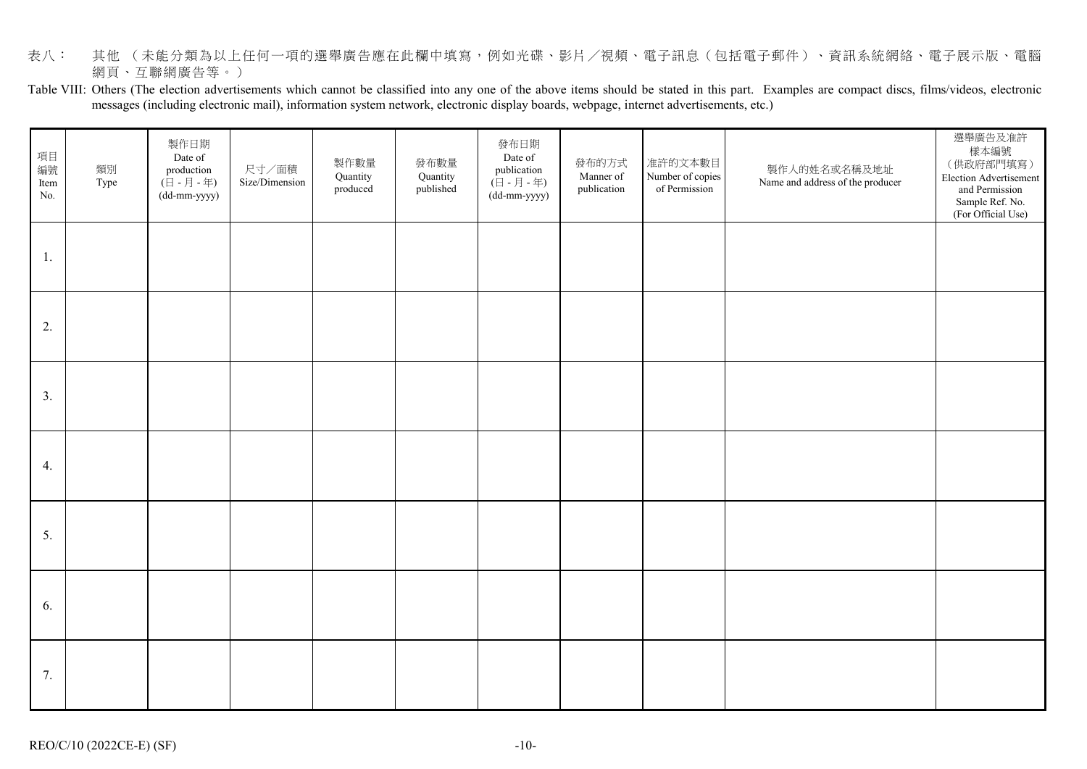- 表八: 其他(未能分類為以上任何一項的選舉廣告應在此欄中填寫,例如光碟、影片/視頻、電子訊息(包括電子郵件)、資訊系統網絡、電子展示版、電腦 網頁、互聯網廣告等。)
- Table VIII: Others (The election advertisements which cannot be classified into any one of the above items should be stated in this part. Examples are compact discs, films/videos, electronic messages (including electronic mail), information system network, electronic display boards, webpage, internet advertisements, etc.)

| 項目<br>編號<br>Item<br>No. | 類別<br>Type | 製作日期<br>Date of<br>production<br>$(\overline{\Box} - \overline{\Box} - \overline{\Diamond})$<br>(dd-mm-yyyy) | 尺寸/面積<br>Size/Dimension | 製作數量<br>Quantity<br>produced | 發布數量<br>Quantity<br>published | 發布日期<br>Date of<br>publication<br>$(\exists - \exists - \exists \exists - \exists \exists)$<br>(dd-mm-yyyy) | 發布的方式<br>Manner of<br>publication | 准許的文本數目<br>Number of copies<br>of Permission | 製作人的姓名或名稱及地址<br>Name and address of the producer | 選舉廣告及准許<br>樣本編號<br>(供政府部門填寫)<br>Election Advertisement<br>and Permission<br>Sample Ref. No.<br>(For Official Use) |
|-------------------------|------------|--------------------------------------------------------------------------------------------------------------|-------------------------|------------------------------|-------------------------------|-------------------------------------------------------------------------------------------------------------|-----------------------------------|----------------------------------------------|--------------------------------------------------|-------------------------------------------------------------------------------------------------------------------|
| 1.                      |            |                                                                                                              |                         |                              |                               |                                                                                                             |                                   |                                              |                                                  |                                                                                                                   |
| 2.                      |            |                                                                                                              |                         |                              |                               |                                                                                                             |                                   |                                              |                                                  |                                                                                                                   |
| 3.                      |            |                                                                                                              |                         |                              |                               |                                                                                                             |                                   |                                              |                                                  |                                                                                                                   |
| 4.                      |            |                                                                                                              |                         |                              |                               |                                                                                                             |                                   |                                              |                                                  |                                                                                                                   |
| 5.                      |            |                                                                                                              |                         |                              |                               |                                                                                                             |                                   |                                              |                                                  |                                                                                                                   |
| 6.                      |            |                                                                                                              |                         |                              |                               |                                                                                                             |                                   |                                              |                                                  |                                                                                                                   |
| 7.                      |            |                                                                                                              |                         |                              |                               |                                                                                                             |                                   |                                              |                                                  |                                                                                                                   |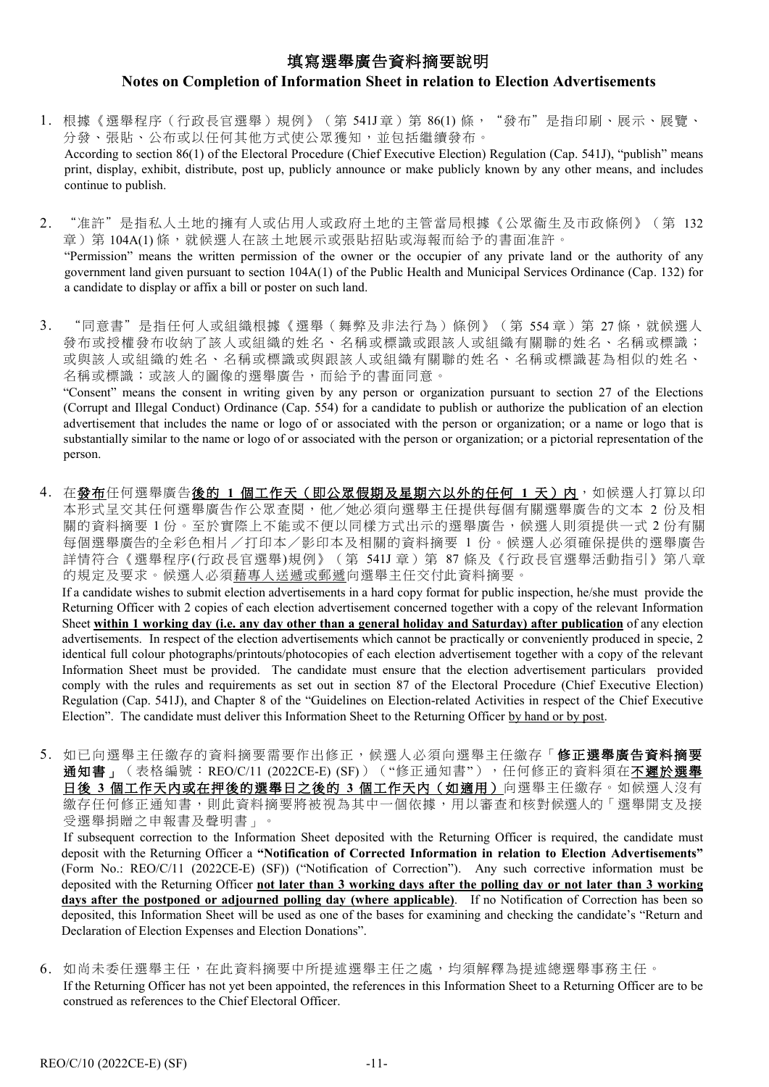# 填寫選舉廣告資料摘要說明

## **Notes on Completion of Information Sheet in relation to Election Advertisements**

- 1. 根據[《選舉程序\(行政長官選舉\)規例》](http://www.legislation.gov.hk/blis_ind.nsf/WebView?OpenAgent&vwpg=CurAllChinDoc*538*100*538.5#538.5)(第 541J章)第 86(1)條, "發布"是指印刷、展示、展覽、 分發、張貼、公布或以任何其他方式使公眾獲知,並包括繼續發布。 According to section 86(1) of the Electoral Procedure (Chief Executive Election) Regulation (Cap. 541J), "publish" means print, display, exhibit, distribute, post up, publicly announce or make publicly known by any other means, and includes continue to publish.
- 2. "准許"是指私人土地的擁有人或佔用人或政府土地的主管當局根據《公眾衞生及市政條例》(第 132 章)第 104A(1)條,就候選人在該土地展示或張貼招貼或海報而給予的書面准許。 "Permission" means the written permission of the owner or the occupier of any private land or the authority of any government land given pursuant to section 104A(1) of the Public Health and Municipal Services Ordinance (Cap. 132) for a candidate to display or affix a bill or poster on such land.
- 3. "同意書"是指任何人或組織根據[《選舉\(舞弊及非法行為\)條例》](http://www.legislation.gov.hk/blis_ind.nsf/WebView?OpenAgent&vwpg=CurAllChinDoc*551*100*551.1#551.1)(第 554章)第 27條,就候選人 發布或授權發布收納了該人或組織的姓名、名稱或標識或跟該人或組織有關聯的姓名、名稱或標識; 或與該人或組織的姓名、名稱或標識或與跟該人或組織有關聯的姓名、名稱或標識甚為相似的姓名、 名稱或標識;或該人的圖像的選舉廣告,而給予的書面同意。 "Consent" means the consent in writing given by any person or organization pursuant to section 27 of the Elections

(Corrupt and Illegal Conduct) Ordinance (Cap. 554) for a candidate to publish or authorize the publication of an election advertisement that includes the name or logo of or associated with the person or organization; or a name or logo that is substantially similar to the name or logo of or associated with the person or organization; or a pictorial representation of the person.

4. 在發布任何選舉廣告後的 1 個工作天(即公眾假期及星期六以外的任何 1 天)內,如候選人打算以印 本形式呈交其任何選舉廣告作公眾查閱,他/她必須向選舉主任提供每個有關選舉廣告的文本 2 份及相 關的資料摘要 1 份。至於實際上不能或不便以同樣方式出示的選舉廣告,候選人則須提供一式 2 份有關 每個選舉廣告的全彩色相片/打印本/影印本及相關的資料摘要 1 份。候選人必須確保提供的選舉廣告 詳情符合《選舉程序(行政長官選舉)規例》(第 541J 章)第 87 條及《行政長官選舉活動指引》第八章 的規定及要求。候選人必須藉專人送遞或郵遞向選舉主任交付此資料摘要。 If a candidate wishes to submit election advertisements in a hard copy format for public inspection, he/she must provide the

Returning Officer with 2 copies of each election advertisement concerned together with a copy of the relevant Information Sheet **within 1 working day (i.e. any day other than a general holiday and Saturday) after publication** of any election advertisements. In respect of the election advertisements which cannot be practically or conveniently produced in specie, 2 identical full colour photographs/printouts/photocopies of each election advertisement together with a copy of the relevant Information Sheet must be provided. The candidate must ensure that the election advertisement particulars provided comply with the rules and requirements as set out in section 87 of the Electoral Procedure (Chief Executive Election) Regulation (Cap. 541J), and Chapter 8 of the "Guidelines on Election-related Activities in respect of the Chief Executive Election". The candidate must deliver this Information Sheet to the Returning Officer by hand or by post.

5. 如已向選舉主任繳存的資料摘要需要作出修正,候選人必須向選舉主任繳存「修正選舉廣告資料摘要 通知書」(表格編號: REO/C/11 (2022CE-E) (SF)) ("修正通知書"),任何修正的資料須在不遲於選舉 日後 **3** 個工作天內或在押後的選舉日之後的 **3** 個工作天內(如適用)向選舉主任繳存。如候選人沒有 繳存任何修正通知書,則此資料摘要將被視為其中一個依據,用以審查和核對候選人的「選舉開支及接 受選舉捐贈之申報書及聲明書」。

If subsequent correction to the Information Sheet deposited with the Returning Officer is required, the candidate must deposit with the Returning Officer a **"Notification of Corrected Information in relation to Election Advertisements"** (Form No.: REO/C/11 (2022CE-E) (SF)) ("Notification of Correction"). Any such corrective information must be deposited with the Returning Officer **not later than 3 working days after the polling day or not later than 3 working days after the postponed or adjourned polling day (where applicable)**. If no Notification of Correction has been so deposited, this Information Sheet will be used as one of the bases for examining and checking the candidate's "Return and Declaration of Election Expenses and Election Donations".

6. 如尚未委任選舉主任,在此資料摘要中所提述選舉主任之處,均須解釋為提述總選舉事務主任。 If the Returning Officer has not yet been appointed, the references in this Information Sheet to a Returning Officer are to be construed as references to the Chief Electoral Officer.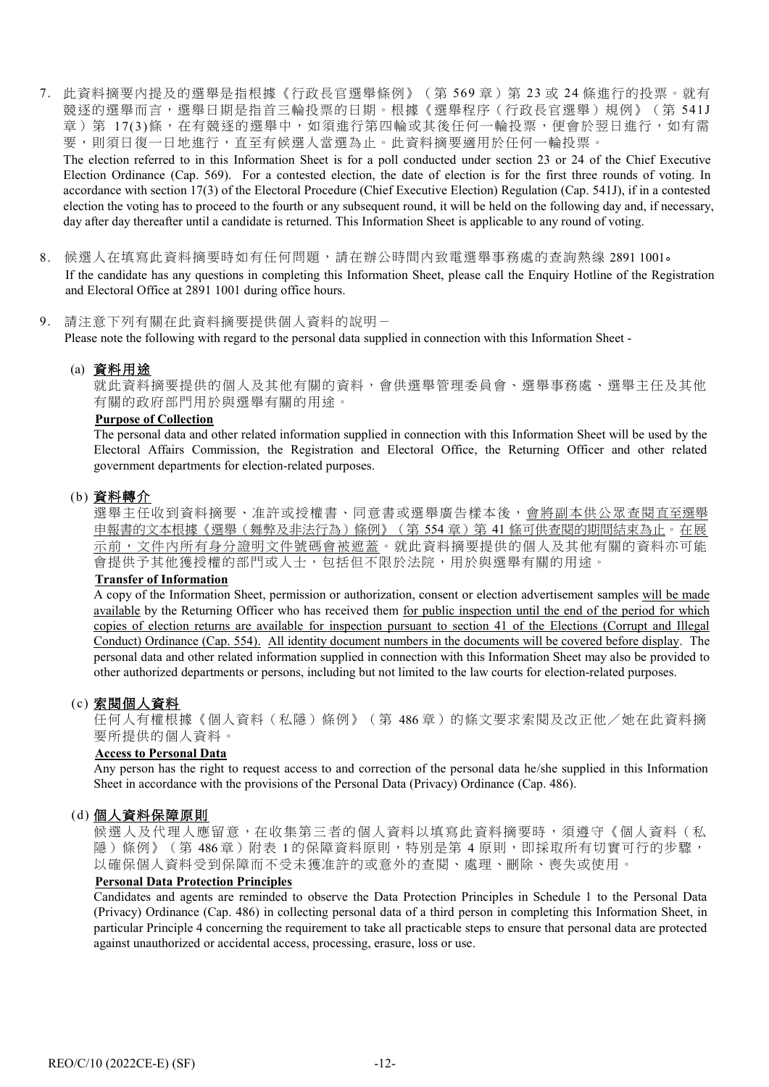7. 此資料摘要內提及的選舉是指根據《行政長官選舉條例》(第 569 章)第 23 或 24 條進行的投票。就有 競逐的選舉而言,選舉日期是指首三輪投票的日期。根據《選舉程序(行政長官選舉)規例》(第 541J 章)第 17(3)條,在有競逐的選舉中,如須進行第四輪或其後任何一輪投票,便會於翌日進行,如有需 要,則須日復一日地進行,直至有候選人當選為止。此資料摘要適用於任何一輪投票。 The election referred to in this Information Sheet is for a poll conducted under section 23 or 24 of the Chief Executive

Election Ordinance (Cap. 569). For a contested election, the date of election is for the first three rounds of voting. In accordance with section 17(3) of the Electoral Procedure (Chief Executive Election) Regulation (Cap. 541J), if in a contested election the voting has to proceed to the fourth or any subsequent round, it will be held on the following day and, if necessary, day after day thereafter until a candidate is returned. This Information Sheet is applicable to any round of voting.

8. 候選人在填寫此資料摘要時如有任何問題,請在辦公時間內致電選舉事務處的查詢熱線 2891 1001。 If the candidate has any questions in completing this Information Sheet, please call the Enquiry Hotline of the Registration and Electoral Office at 2891 1001 during office hours.

#### 9. 請注意下列有關在此資料摘要提供個人資料的說明-

Please note the following with regard to the personal data supplied in connection with this Information Sheet -

#### (a) 資料用途

就此資料摘要提供的個人及其他有關的資料,會供選舉管理委員會、選舉事務處、選舉主任及其他 有關的政府部門用於與選舉有關的用途。

### **Purpose of Collection**

The personal data and other related information supplied in connection with this Information Sheet will be used by the Electoral Affairs Commission, the Registration and Electoral Office, the Returning Officer and other related government departments for election-related purposes.

#### (b) 資料轉介

選舉主任收到資料摘要、准許或授權書、同意書或選舉廣告樣本後,會將副本供公眾查閱直至選舉 申報書的文本根據[《選舉\(舞弊及非法行為\)條例》](http://www.legislation.gov.hk/blis_ind.nsf/WebView?OpenAgent&vwpg=CurAllChinDoc*551*100*551.1#551.1)(第 554 章)第 41 條可供查閱的期間結束為止。在展 示前,文件內所有身分證明文件號碼會被遮蓋。就此資料摘要提供的個人及其他有關的資料亦可能 會提供予其他獲授權的部門或人士,包括但不限於法院,用於與選舉有關的用途。

### **Transfer of Information**

A copy of the Information Sheet, permission or authorization, consent or election advertisement samples will be made available by the Returning Officer who has received them for public inspection until the end of the period for which copies of election returns are available for inspection pursuant to section 41 of the Elections (Corrupt and Illegal Conduct) Ordinance (Cap. 554). All identity document numbers in the documents will be covered before display. The personal data and other related information supplied in connection with this Information Sheet may also be provided to other authorized departments or persons, including but not limited to the law courts for election-related purposes.

#### (c) 索閱個人資料

任何人有權根據《個人資料(私隱)條例》(第 486 章)的條文要求索閱及改正他/她在此資料摘 要所提供的個人資料。

#### **Access to Personal Data**

Any person has the right to request access to and correction of the personal data he/she supplied in this Information Sheet in accordance with the provisions of the Personal Data (Privacy) Ordinance (Cap. 486).

#### (d) 個人資料保障原則

候選人及代理人應留意,在收集第三者的個人資料以填寫此資料摘要時,須遵守《個人資料(私 隱)條例》(第 486 章)附表 1 的保障資料原則,特別是第 4 原則,即採取所有切實可行的步驟, 以確保個人資料受到保障而不受未獲准許的或意外的查閱、處理、刪除、喪失或使用。

### **Personal Data Protection Principles**

Candidates and agents are reminded to observe the Data Protection Principles in Schedule 1 to the Personal Data (Privacy) Ordinance (Cap. 486) in collecting personal data of a third person in completing this Information Sheet, in particular Principle 4 concerning the requirement to take all practicable steps to ensure that personal data are protected against unauthorized or accidental access, processing, erasure, loss or use.